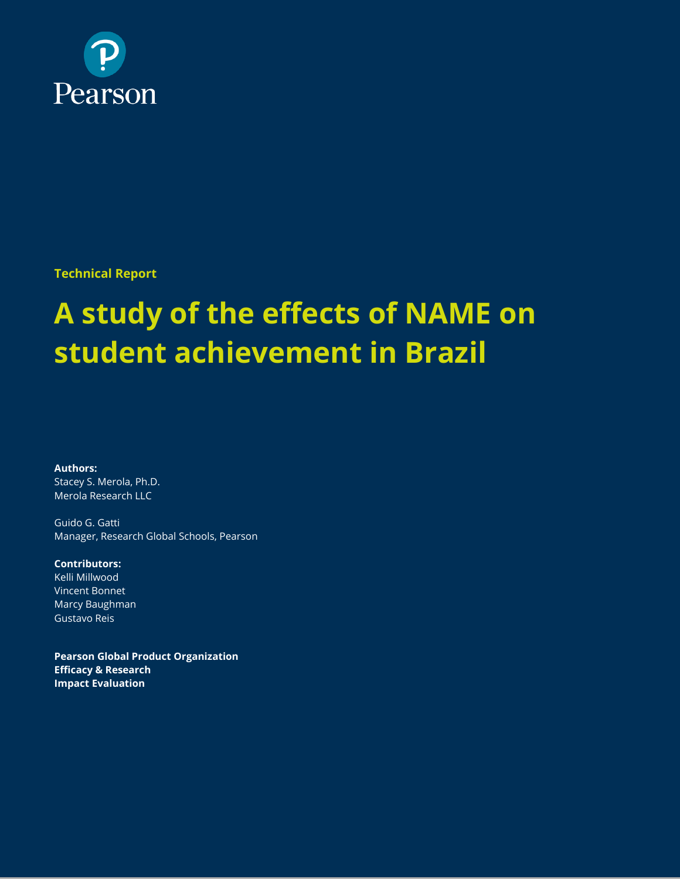

**Technical Report**

# **A study of the effects of NAME on student achievement in Brazil**

**Authors:**

Stacey S. Merola, Ph.D. Merola Research LLC

Guido G. Gatti Manager, Research Global Schools, Pearson

#### **Contributors:**

Kelli Millwood Vincent Bonnet Marcy Baughman Gustavo Reis

**Pearson Global Product Organization Efficacy & Research Impact Evaluation**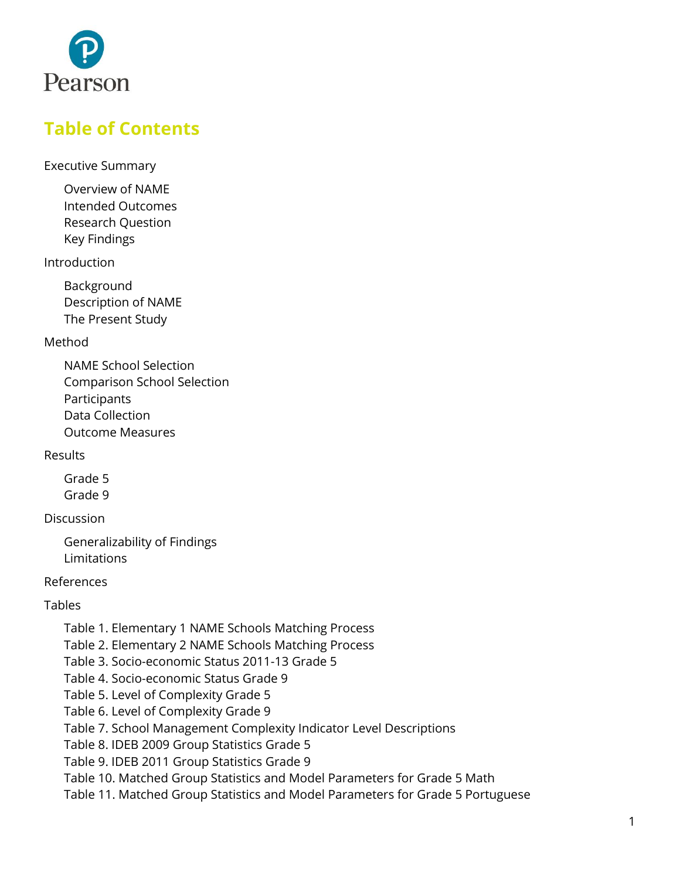

# **Table of Contents**

[Executive Summary](#page-3-0)

[Overview of NAME](#page-3-1) [Intended Outcomes](#page-3-2) [Research Question](#page-3-3) [Key Findings](#page-3-4)

[Introduction](#page-5-0)

[Background](#page-5-1) [Description of NAME](#page-5-2) [The Present Study](#page-7-0)

#### [Method](#page-8-0)

[NAME School Selection](#page-8-1) [Comparison School Selection](#page-8-2) [Participants](#page-9-0) [Data Collection](#page-10-0) [Outcome Measures](#page-10-1)

[Results](#page-12-0)

[Grade 5](#page-12-1) [Grade 9](#page-13-0)

[Discussion](#page-14-0)

[Generalizability of Findings](#page-14-1) [Limitations](#page-14-2)

#### [References](#page-15-0)

[Tables](#page-16-0)

[Table 1. Elementary 1 NAME Schools](#page-16-1) Matching Process [Table 2. Elementary 2 NAME Schools Matching Process](#page-17-0) [Table 3. Socio-economic Status 2011-13 Grade 5](#page-17-1) [Table 4. Socio-economic Status Grade 9](#page-18-0) [Table 5. Level of Complexity Grade 5](#page-18-1) [Table 6. Level of Complexity Grade 9](#page-18-2) [Table 7. School Management Complexity Indicator Level Descriptions](#page-19-0) [Table 8. IDEB 2009 Group Statistics Grade 5](#page-19-1) [Table 9. IDEB 2011 Group Statistics Grade 9](#page-20-0) [Table 10. Matched Group Statistics and Model Parameters for Grade 5 Math](#page-20-1) [Table 11. Matched Group Statistics and Model Parameters for Grade 5 Portuguese](#page-21-0)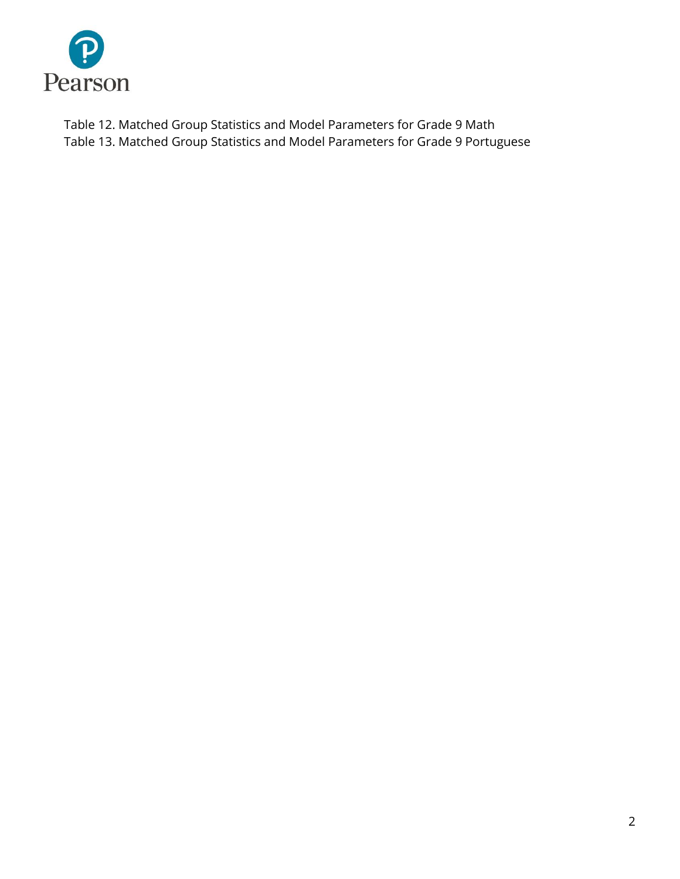

[Table 12. Matched Group Statistics and Model Parameters for Grade 9 Math](#page-21-1) [Table 13. Matched Group Statistics and Model Parameters for Grade 9 Portuguese](#page-22-0)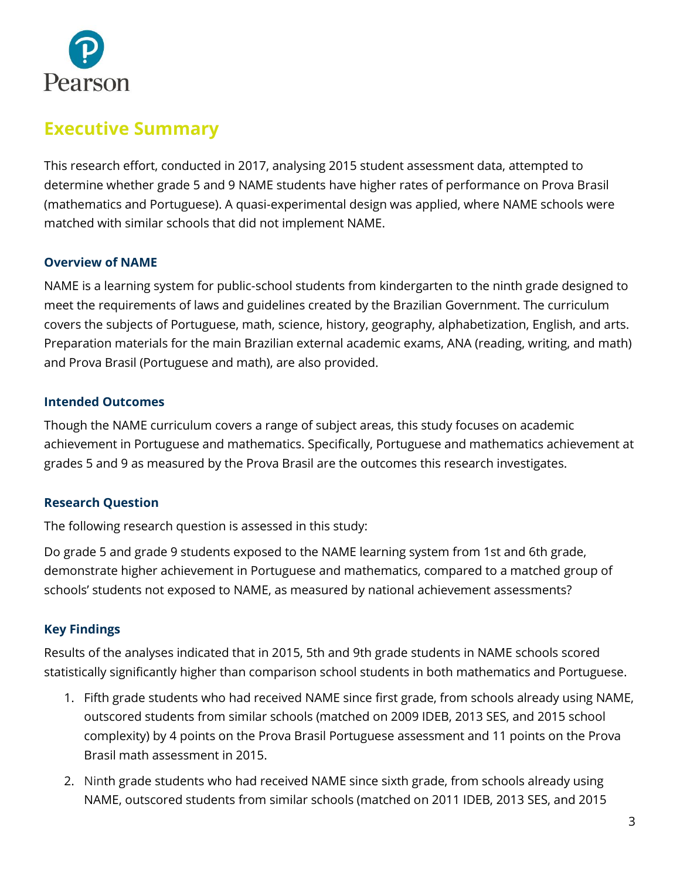

# <span id="page-3-0"></span>**Executive Summary**

This research effort, conducted in 2017, analysing 2015 student assessment data, attempted to determine whether grade 5 and 9 NAME students have higher rates of performance on Prova Brasil (mathematics and Portuguese). A quasi-experimental design was applied, where NAME schools were matched with similar schools that did not implement NAME.

#### <span id="page-3-1"></span>**Overview of NAME**

NAME is a learning system for public-school students from kindergarten to the ninth grade designed to meet the requirements of laws and guidelines created by the Brazilian Government. The curriculum covers the subjects of Portuguese, math, science, history, geography, alphabetization, English, and arts. Preparation materials for the main Brazilian external academic exams, ANA (reading, writing, and math) and Prova Brasil (Portuguese and math), are also provided.

#### <span id="page-3-2"></span>**Intended Outcomes**

Though the NAME curriculum covers a range of subject areas, this study focuses on academic achievement in Portuguese and mathematics. Specifically, Portuguese and mathematics achievement at grades 5 and 9 as measured by the Prova Brasil are the outcomes this research investigates.

#### <span id="page-3-3"></span>**Research Question**

The following research question is assessed in this study:

Do grade 5 and grade 9 students exposed to the NAME learning system from 1st and 6th grade, demonstrate higher achievement in Portuguese and mathematics, compared to a matched group of schools' students not exposed to NAME, as measured by national achievement assessments?

#### <span id="page-3-4"></span>**Key Findings**

Results of the analyses indicated that in 2015, 5th and 9th grade students in NAME schools scored statistically significantly higher than comparison school students in both mathematics and Portuguese.

- 1. Fifth grade students who had received NAME since first grade, from schools already using NAME, outscored students from similar schools (matched on 2009 IDEB, 2013 SES, and 2015 school complexity) by 4 points on the Prova Brasil Portuguese assessment and 11 points on the Prova Brasil math assessment in 2015.
- 2. Ninth grade students who had received NAME since sixth grade, from schools already using NAME, outscored students from similar schools (matched on 2011 IDEB, 2013 SES, and 2015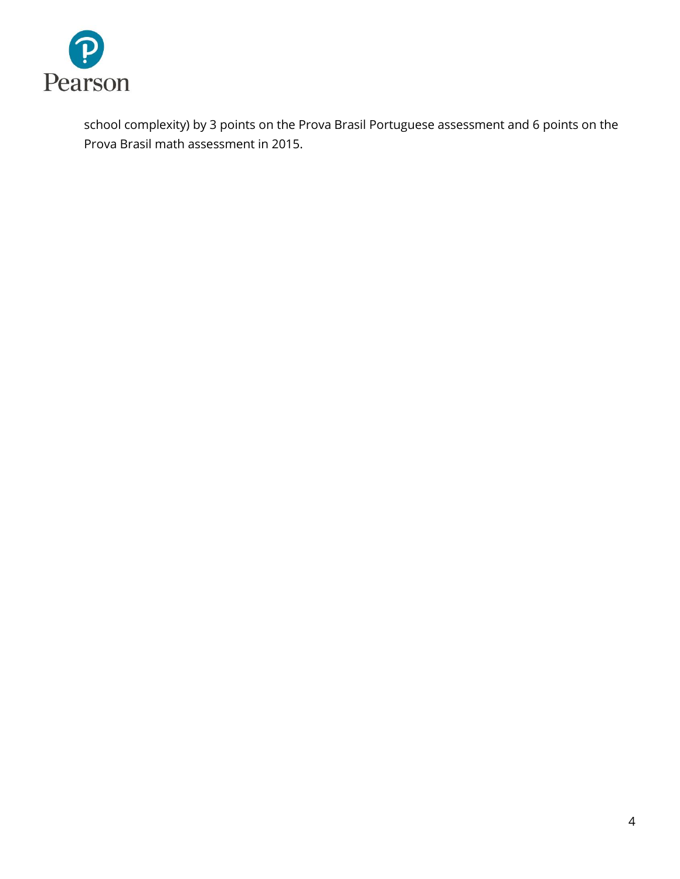

school complexity) by 3 points on the Prova Brasil Portuguese assessment and 6 points on the Prova Brasil math assessment in 2015.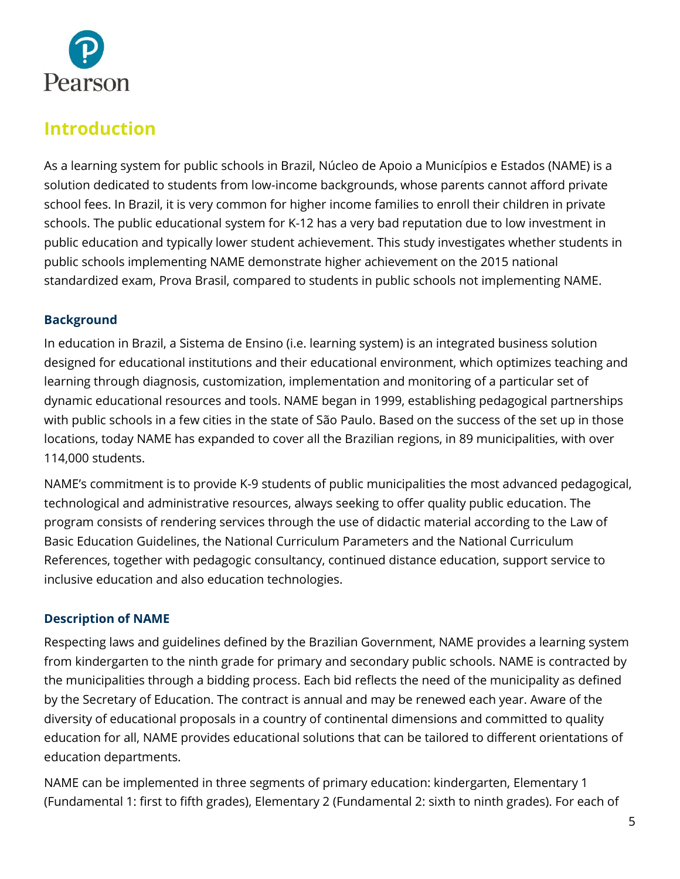

# <span id="page-5-0"></span>**Introduction**

As a learning system for public schools in Brazil, Núcleo de Apoio a Municípios e Estados (NAME) is a solution dedicated to students from low-income backgrounds, whose parents cannot afford private school fees. In Brazil, it is very common for higher income families to enroll their children in private schools. The public educational system for K-12 has a very bad reputation due to low investment in public education and typically lower student achievement. This study investigates whether students in public schools implementing NAME demonstrate higher achievement on the 2015 national standardized exam, Prova Brasil, compared to students in public schools not implementing NAME.

#### <span id="page-5-1"></span>**Background**

In education in Brazil, a Sistema de Ensino (i.e. learning system) is an integrated business solution designed for educational institutions and their educational environment, which optimizes teaching and learning through diagnosis, customization, implementation and monitoring of a particular set of dynamic educational resources and tools. NAME began in 1999, establishing pedagogical partnerships with public schools in a few cities in the state of São Paulo. Based on the success of the set up in those locations, today NAME has expanded to cover all the Brazilian regions, in 89 municipalities, with over 114,000 students.

NAME's commitment is to provide K-9 students of public municipalities the most advanced pedagogical, technological and administrative resources, always seeking to offer quality public education. The program consists of rendering services through the use of didactic material according to the Law of Basic Education Guidelines, the National Curriculum Parameters and the National Curriculum References, together with pedagogic consultancy, continued distance education, support service to inclusive education and also education technologies.

#### <span id="page-5-2"></span>**Description of NAME**

Respecting laws and guidelines defined by the Brazilian Government, NAME provides a learning system from kindergarten to the ninth grade for primary and secondary public schools. NAME is contracted by the municipalities through a bidding process. Each bid reflects the need of the municipality as defined by the Secretary of Education. The contract is annual and may be renewed each year. Aware of the diversity of educational proposals in a country of continental dimensions and committed to quality education for all, NAME provides educational solutions that can be tailored to different orientations of education departments.

NAME can be implemented in three segments of primary education: kindergarten, Elementary 1 (Fundamental 1: first to fifth grades), Elementary 2 (Fundamental 2: sixth to ninth grades). For each of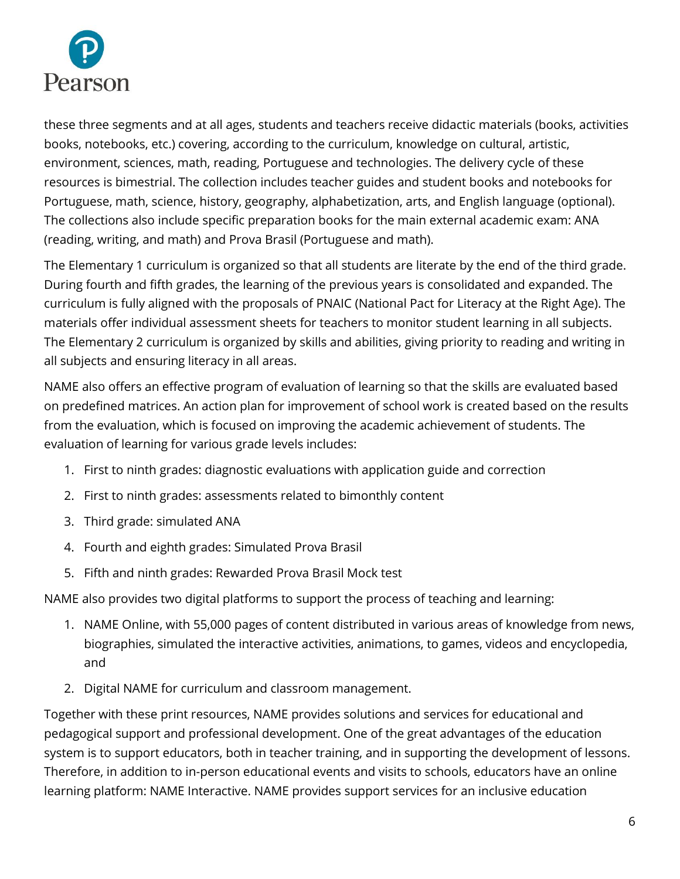

these three segments and at all ages, students and teachers receive didactic materials (books, activities books, notebooks, etc.) covering, according to the curriculum, knowledge on cultural, artistic, environment, sciences, math, reading, Portuguese and technologies. The delivery cycle of these resources is bimestrial. The collection includes teacher guides and student books and notebooks for Portuguese, math, science, history, geography, alphabetization, arts, and English language (optional). The collections also include specific preparation books for the main external academic exam: ANA (reading, writing, and math) and Prova Brasil (Portuguese and math).

The Elementary 1 curriculum is organized so that all students are literate by the end of the third grade. During fourth and fifth grades, the learning of the previous years is consolidated and expanded. The curriculum is fully aligned with the proposals of PNAIC (National Pact for Literacy at the Right Age). The materials offer individual assessment sheets for teachers to monitor student learning in all subjects. The Elementary 2 curriculum is organized by skills and abilities, giving priority to reading and writing in all subjects and ensuring literacy in all areas.

NAME also offers an effective program of evaluation of learning so that the skills are evaluated based on predefined matrices. An action plan for improvement of school work is created based on the results from the evaluation, which is focused on improving the academic achievement of students. The evaluation of learning for various grade levels includes:

- 1. First to ninth grades: diagnostic evaluations with application guide and correction
- 2. First to ninth grades: assessments related to bimonthly content
- 3. Third grade: simulated ANA
- 4. Fourth and eighth grades: Simulated Prova Brasil
- 5. Fifth and ninth grades: Rewarded Prova Brasil Mock test

NAME also provides two digital platforms to support the process of teaching and learning:

- 1. NAME Online, with 55,000 pages of content distributed in various areas of knowledge from news, biographies, simulated the interactive activities, animations, to games, videos and encyclopedia, and
- 2. Digital NAME for curriculum and classroom management.

Together with these print resources, NAME provides solutions and services for educational and pedagogical support and professional development. One of the great advantages of the education system is to support educators, both in teacher training, and in supporting the development of lessons. Therefore, in addition to in-person educational events and visits to schools, educators have an online learning platform: NAME Interactive. NAME provides support services for an inclusive education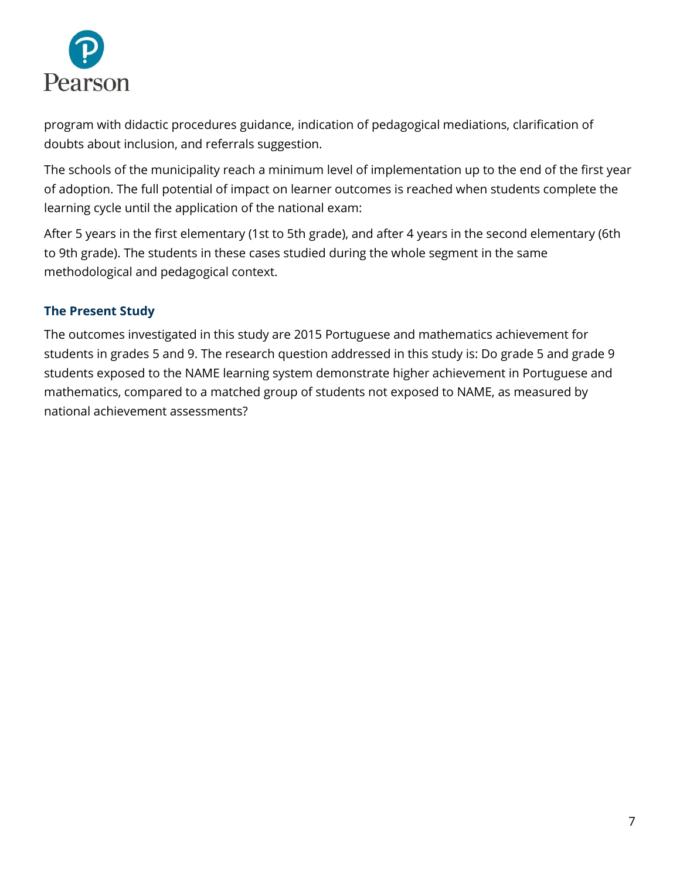

program with didactic procedures guidance, indication of pedagogical mediations, clarification of doubts about inclusion, and referrals suggestion.

The schools of the municipality reach a minimum level of implementation up to the end of the first year of adoption. The full potential of impact on learner outcomes is reached when students complete the learning cycle until the application of the national exam:

After 5 years in the first elementary (1st to 5th grade), and after 4 years in the second elementary (6th to 9th grade). The students in these cases studied during the whole segment in the same methodological and pedagogical context.

### <span id="page-7-0"></span>**The Present Study**

The outcomes investigated in this study are 2015 Portuguese and mathematics achievement for students in grades 5 and 9. The research question addressed in this study is: Do grade 5 and grade 9 students exposed to the NAME learning system demonstrate higher achievement in Portuguese and mathematics, compared to a matched group of students not exposed to NAME, as measured by national achievement assessments?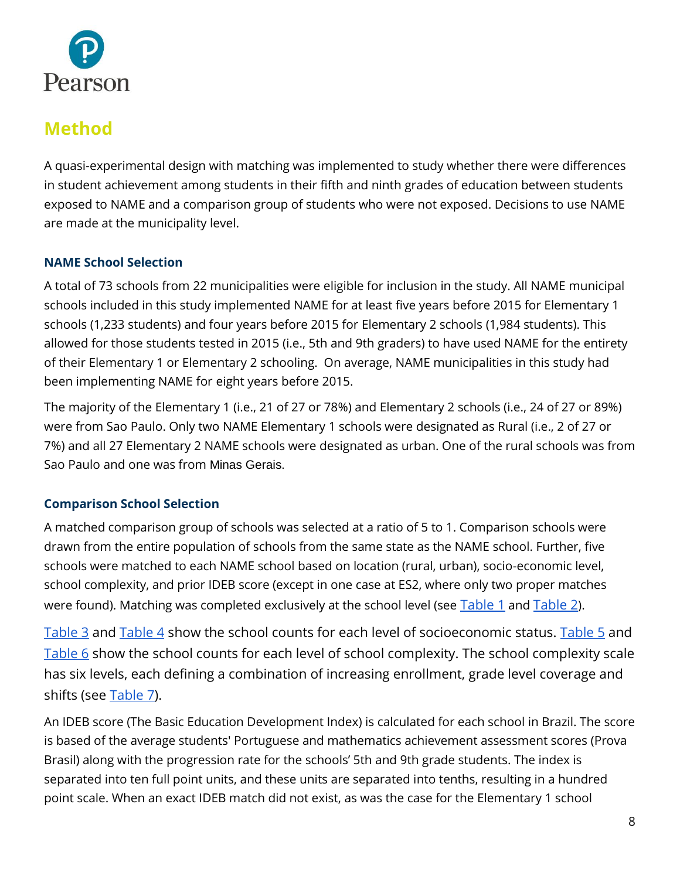

# <span id="page-8-0"></span>**Method**

A quasi-experimental design with matching was implemented to study whether there were differences in student achievement among students in their fifth and ninth grades of education between students exposed to NAME and a comparison group of students who were not exposed. Decisions to use NAME are made at the municipality level.

#### <span id="page-8-1"></span>**NAME School Selection**

A total of 73 schools from 22 municipalities were eligible for inclusion in the study. All NAME municipal schools included in this study implemented NAME for at least five years before 2015 for Elementary 1 schools (1,233 students) and four years before 2015 for Elementary 2 schools (1,984 students). This allowed for those students tested in 2015 (i.e., 5th and 9th graders) to have used NAME for the entirety of their Elementary 1 or Elementary 2 schooling. On average, NAME municipalities in this study had been implementing NAME for eight years before 2015.

The majority of the Elementary 1 (i.e., 21 of 27 or 78%) and Elementary 2 schools (i.e., 24 of 27 or 89%) were from Sao Paulo. Only two NAME Elementary 1 schools were designated as Rural (i.e., 2 of 27 or 7%) and all 27 Elementary 2 NAME schools were designated as urban. One of the rural schools was from Sao Paulo and one was from Minas Gerais.

### <span id="page-8-2"></span>**Comparison School Selection**

A matched comparison group of schools was selected at a ratio of 5 to 1. Comparison schools were drawn from the entire population of schools from the same state as the NAME school. Further, five schools were matched to each NAME school based on location (rural, urban), socio-economic level, school complexity, and prior IDEB score (except in one case at ES2, where only two proper matches were found). Matching was completed exclusively at the school level (see [Table 1](file:///C:/Dropbox/Bond%20and%20Coyne/Pearsons/Job%201%20-%20Word%20and%20Google%20Docs%20template/WIP/2018%2003%2027%20Conversions/In%20Progress/NAME_FINAL%20Technical_Report_2-20-18.docx%23_vx1227) and [Table 2](file:///C:/Dropbox/Bond%20and%20Coyne/Pearsons/Job%201%20-%20Word%20and%20Google%20Docs%20template/WIP/2018%2003%2027%20Conversions/In%20Progress/NAME_FINAL%20Technical_Report_2-20-18.docx%23_3fwokq0)).

[Table 3](file:///C:/Dropbox/Bond%20and%20Coyne/Pearsons/Job%201%20-%20Word%20and%20Google%20Docs%20template/WIP/2018%2003%2027%20Conversions/In%20Progress/NAME_FINAL%20Technical_Report_2-20-18.docx%23_4f1mdlm) and [Table 4](file:///C:/Dropbox/Bond%20and%20Coyne/Pearsons/Job%201%20-%20Word%20and%20Google%20Docs%20template/WIP/2018%2003%2027%20Conversions/In%20Progress/NAME_FINAL%20Technical_Report_2-20-18.docx%23_2u6wntf) show the school counts for each level of socioeconomic status. [Table 5](file:///C:/Dropbox/Bond%20and%20Coyne/Pearsons/Job%201%20-%20Word%20and%20Google%20Docs%20template/WIP/2018%2003%2027%20Conversions/In%20Progress/NAME_FINAL%20Technical_Report_2-20-18.docx%23_3tbugp1) and [Table 6](file:///C:/Dropbox/Bond%20and%20Coyne/Pearsons/Job%201%20-%20Word%20and%20Google%20Docs%20template/WIP/2018%2003%2027%20Conversions/In%20Progress/NAME_FINAL%20Technical_Report_2-20-18.docx%23_nmf14n) show the school counts for each level of school complexity. The school complexity scale has six levels, each defining a combination of increasing enrollment, grade level coverage and shifts (see [Table 7\)](file:///C:/Dropbox/Bond%20and%20Coyne/Pearsons/Job%201%20-%20Word%20and%20Google%20Docs%20template/WIP/2018%2003%2027%20Conversions/In%20Progress/NAME_FINAL%20Technical_Report_2-20-18.docx%23_1mrcu09).

An IDEB score (The Basic Education Development Index) is calculated for each school in Brazil. The score is based of the average students' Portuguese and mathematics achievement assessment scores (Prova Brasil) along with the progression rate for the schools' 5th and 9th grade students. The index is separated into ten full point units, and these units are separated into tenths, resulting in a hundred point scale. When an exact IDEB match did not exist, as was the case for the Elementary 1 school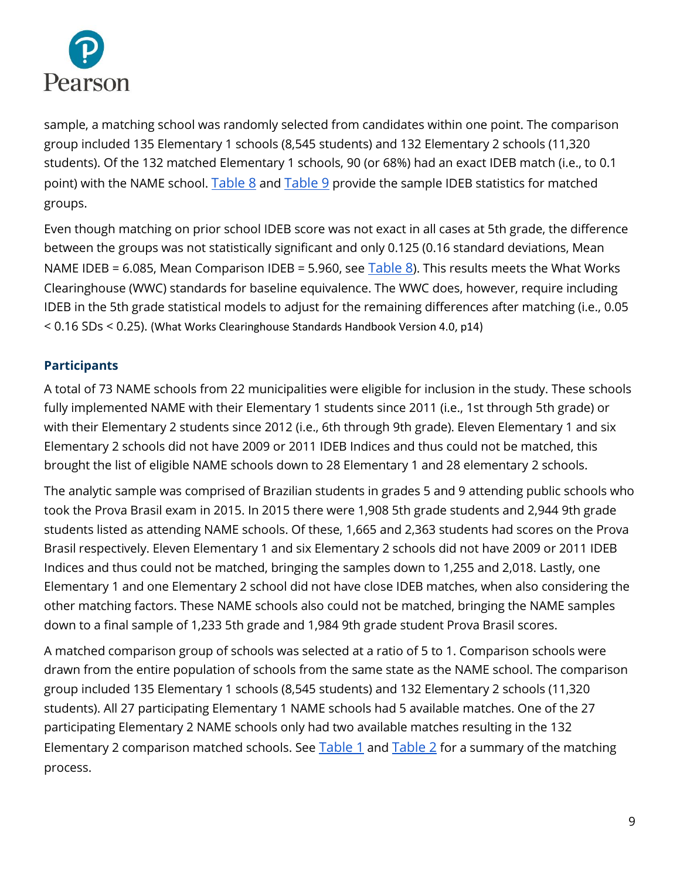

sample, a matching school was randomly selected from candidates within one point. The comparison group included 135 Elementary 1 schools (8,545 students) and 132 Elementary 2 schools (11,320 students). Of the 132 matched Elementary 1 schools, 90 (or 68%) had an exact IDEB match (i.e., to 0.1 point) with the NAME school. [Table 8](file:///C:/Dropbox/Bond%20and%20Coyne/Pearsons/Job%201%20-%20Word%20and%20Google%20Docs%20template/WIP/2018%2003%2027%20Conversions/In%20Progress/NAME_FINAL%20Technical_Report_2-20-18.docx%23_46r0co2) and [Table 9](file:///C:/Dropbox/Bond%20and%20Coyne/Pearsons/Job%201%20-%20Word%20and%20Google%20Docs%20template/WIP/2018%2003%2027%20Conversions/In%20Progress/NAME_FINAL%20Technical_Report_2-20-18.docx%23_111kx3o) provide the sample IDEB statistics for matched groups.

Even though matching on prior school IDEB score was not exact in all cases at 5th grade, the difference between the groups was not statistically significant and only 0.125 (0.16 standard deviations, Mean NAME IDEB = 6.085, Mean Comparison IDEB = 5.960, see [Table 8](file:///C:/Dropbox/Bond%20and%20Coyne/Pearsons/Job%201%20-%20Word%20and%20Google%20Docs%20template/WIP/2018%2003%2027%20Conversions/In%20Progress/NAME_FINAL%20Technical_Report_2-20-18.docx%23_46r0co2)). This results meets the What Works Clearinghouse (WWC) standards for baseline equivalence. The WWC does, however, require including IDEB in the 5th grade statistical models to adjust for the remaining differences after matching (i.e., 0.05 < 0.16 SDs < 0.25). (What Works Clearinghouse Standards Handbook Version 4.0, p14)

### <span id="page-9-0"></span>**Participants**

A total of 73 NAME schools from 22 municipalities were eligible for inclusion in the study. These schools fully implemented NAME with their Elementary 1 students since 2011 (i.e., 1st through 5th grade) or with their Elementary 2 students since 2012 (i.e., 6th through 9th grade). Eleven Elementary 1 and six Elementary 2 schools did not have 2009 or 2011 IDEB Indices and thus could not be matched, this brought the list of eligible NAME schools down to 28 Elementary 1 and 28 elementary 2 schools.

The analytic sample was comprised of Brazilian students in grades 5 and 9 attending public schools who took the Prova Brasil exam in 2015. In 2015 there were 1,908 5th grade students and 2,944 9th grade students listed as attending NAME schools. Of these, 1,665 and 2,363 students had scores on the Prova Brasil respectively. Eleven Elementary 1 and six Elementary 2 schools did not have 2009 or 2011 IDEB Indices and thus could not be matched, bringing the samples down to 1,255 and 2,018. Lastly, one Elementary 1 and one Elementary 2 school did not have close IDEB matches, when also considering the other matching factors. These NAME schools also could not be matched, bringing the NAME samples down to a final sample of 1,233 5th grade and 1,984 9th grade student Prova Brasil scores.

A matched comparison group of schools was selected at a ratio of 5 to 1. Comparison schools were drawn from the entire population of schools from the same state as the NAME school. The comparison group included 135 Elementary 1 schools (8,545 students) and 132 Elementary 2 schools (11,320 students). All 27 participating Elementary 1 NAME schools had 5 available matches. One of the 27 participating Elementary 2 NAME schools only had two available matches resulting in the 132 Elementary 2 comparison matched schools. See  $Table 1$  and  $Table 2$  for a summary of the matching process.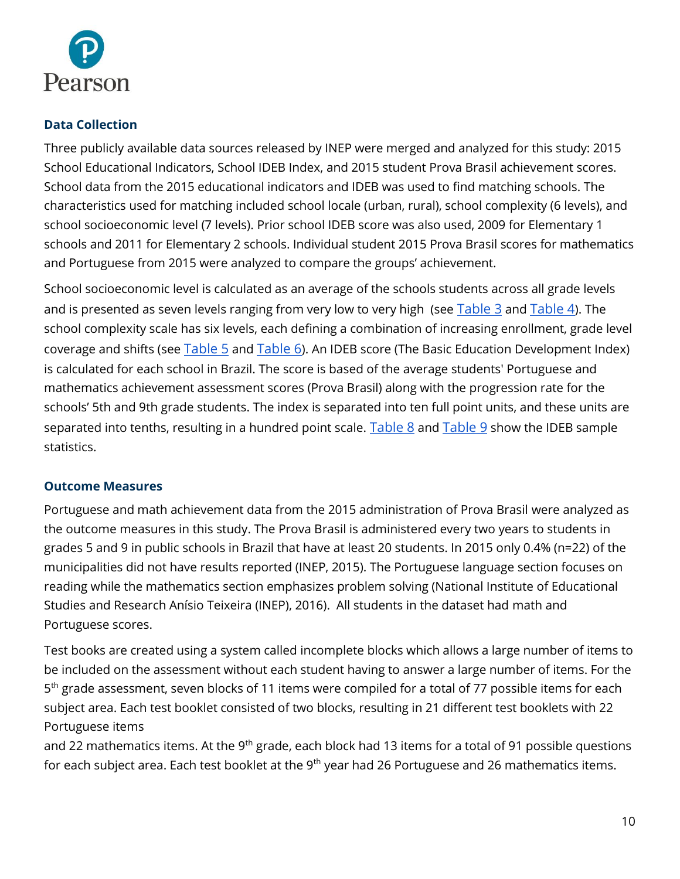

#### <span id="page-10-0"></span>**Data Collection**

Three publicly available data sources released by INEP were merged and analyzed for this study: 2015 School Educational Indicators, School IDEB Index, and 2015 student Prova Brasil achievement scores. School data from the 2015 educational indicators and IDEB was used to find matching schools. The characteristics used for matching included school locale (urban, rural), school complexity (6 levels), and school socioeconomic level (7 levels). Prior school IDEB score was also used, 2009 for Elementary 1 schools and 2011 for Elementary 2 schools. Individual student 2015 Prova Brasil scores for mathematics and Portuguese from 2015 were analyzed to compare the groups' achievement.

School socioeconomic level is calculated as an average of the schools students across all grade levels and is presented as seven levels ranging from very low to very high (see [Table 3](file:///C:/Dropbox/Bond%20and%20Coyne/Pearsons/Job%201%20-%20Word%20and%20Google%20Docs%20template/WIP/2018%2003%2027%20Conversions/In%20Progress/NAME_FINAL%20Technical_Report_2-20-18.docx%23_4f1mdlm) and [Table 4](file:///C:/Dropbox/Bond%20and%20Coyne/Pearsons/Job%201%20-%20Word%20and%20Google%20Docs%20template/WIP/2018%2003%2027%20Conversions/In%20Progress/NAME_FINAL%20Technical_Report_2-20-18.docx%23_2u6wntf)). The school complexity scale has six levels, each defining a combination of increasing enrollment, grade level coverage and shifts (see [Table 5](file:///C:/Dropbox/Bond%20and%20Coyne/Pearsons/Job%201%20-%20Word%20and%20Google%20Docs%20template/WIP/2018%2003%2027%20Conversions/In%20Progress/NAME_FINAL%20Technical_Report_2-20-18.docx%23_3tbugp1) and [Table 6](file:///C:/Dropbox/Bond%20and%20Coyne/Pearsons/Job%201%20-%20Word%20and%20Google%20Docs%20template/WIP/2018%2003%2027%20Conversions/In%20Progress/NAME_FINAL%20Technical_Report_2-20-18.docx%23_nmf14n)). An IDEB score (The Basic Education Development Index) is calculated for each school in Brazil. The score is based of the average students' Portuguese and mathematics achievement assessment scores (Prova Brasil) along with the progression rate for the schools' 5th and 9th grade students. The index is separated into ten full point units, and these units are separated into tenths, resulting in a hundred point scale. [Table 8](file:///C:/Dropbox/Bond%20and%20Coyne/Pearsons/Job%201%20-%20Word%20and%20Google%20Docs%20template/WIP/2018%2003%2027%20Conversions/In%20Progress/NAME_FINAL%20Technical_Report_2-20-18.docx%23_46r0co2) and [Table 9](file:///C:/Dropbox/Bond%20and%20Coyne/Pearsons/Job%201%20-%20Word%20and%20Google%20Docs%20template/WIP/2018%2003%2027%20Conversions/In%20Progress/NAME_FINAL%20Technical_Report_2-20-18.docx%23_111kx3o) show the IDEB sample statistics.

#### <span id="page-10-1"></span>**Outcome Measures**

Portuguese and math achievement data from the 2015 administration of Prova Brasil were analyzed as the outcome measures in this study. The Prova Brasil is administered every two years to students in grades 5 and 9 in public schools in Brazil that have at least 20 students. In 2015 only 0.4% (n=22) of the municipalities did not have results reported (INEP, 2015). The Portuguese language section focuses on reading while the mathematics section emphasizes problem solving (National Institute of Educational Studies and Research Anísio Teixeira (INEP), 2016). All students in the dataset had math and Portuguese scores.

Test books are created using a system called incomplete blocks which allows a large number of items to be included on the assessment without each student having to answer a large number of items. For the 5<sup>th</sup> grade assessment, seven blocks of 11 items were compiled for a total of 77 possible items for each subject area. Each test booklet consisted of two blocks, resulting in 21 different test booklets with 22 Portuguese items

and 22 mathematics items. At the  $9<sup>th</sup>$  grade, each block had 13 items for a total of 91 possible questions for each subject area. Each test booklet at the  $9<sup>th</sup>$  year had 26 Portuguese and 26 mathematics items.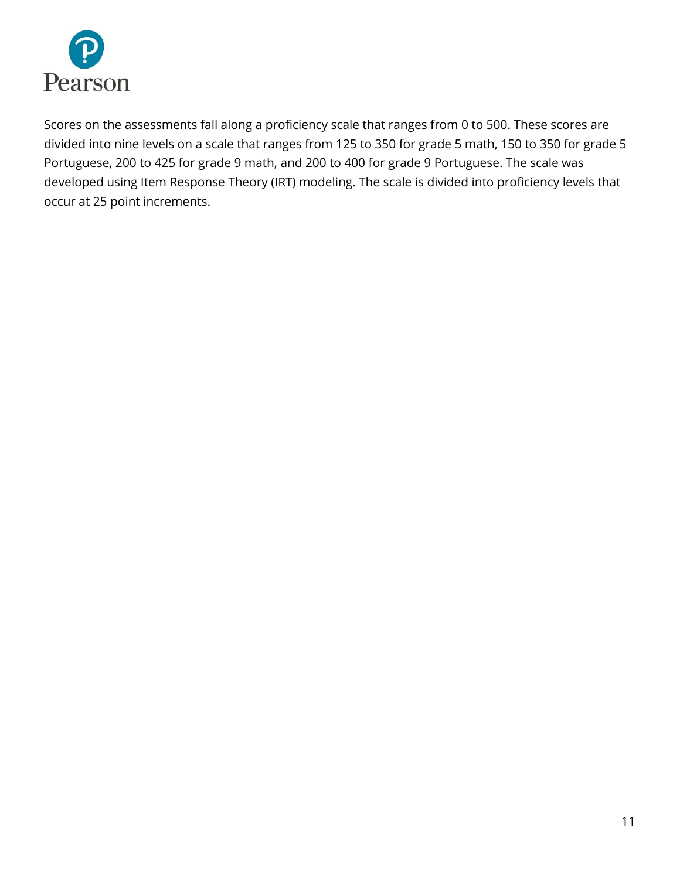

Scores on the assessments fall along a proficiency scale that ranges from 0 to 500. These scores are divided into nine levels on a scale that ranges from 125 to 350 for grade 5 math, 150 to 350 for grade 5 Portuguese, 200 to 425 for grade 9 math, and 200 to 400 for grade 9 Portuguese. The scale was developed using Item Response Theory (IRT) modeling. The scale is divided into proficiency levels that occur at 25 point increments.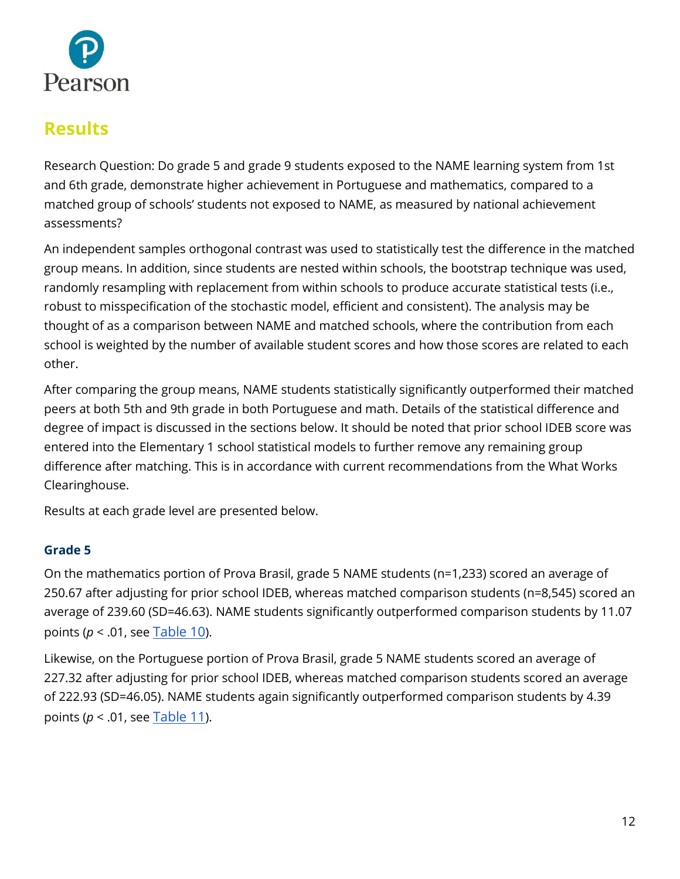

# <span id="page-12-0"></span>**Results**

Research Question: Do grade 5 and grade 9 students exposed to the NAME learning system from 1st and 6th grade, demonstrate higher achievement in Portuguese and mathematics, compared to a matched group of schools' students not exposed to NAME, as measured by national achievement assessments?

An independent samples orthogonal contrast was used to statistically test the difference in the matched group means. In addition, since students are nested within schools, the bootstrap technique was used, randomly resampling with replacement from within schools to produce accurate statistical tests (i.e., robust to misspecification of the stochastic model, efficient and consistent). The analysis may be thought of as a comparison between NAME and matched schools, where the contribution from each school is weighted by the number of available student scores and how those scores are related to each other.

After comparing the group means, NAME students statistically significantly outperformed their matched peers at both 5th and 9th grade in both Portuguese and math. Details of the statistical difference and degree of impact is discussed in the sections below. It should be noted that prior school IDEB score was entered into the Elementary 1 school statistical models to further remove any remaining group difference after matching. This is in accordance with current recommendations from the What Works Clearinghouse.

Results at each grade level are presented below.

### <span id="page-12-1"></span>**Grade 5**

On the mathematics portion of Prova Brasil, grade 5 NAME students (n=1,233) scored an average of 250.67 after adjusting for prior school IDEB, whereas matched comparison students (n=8,545) scored an average of 239.60 (SD=46.63). NAME students significantly outperformed comparison students by 11.07 points (*p* < .01, see [Table 10](file:///C:/Dropbox/Bond%20and%20Coyne/Pearsons/Job%201%20-%20Word%20and%20Google%20Docs%20template/WIP/2018%2003%2027%20Conversions/In%20Progress/NAME_FINAL%20Technical_Report_2-20-18.docx%23_206ipza)).

Likewise, on the Portuguese portion of Prova Brasil, grade 5 NAME students scored an average of 227.32 after adjusting for prior school IDEB, whereas matched comparison students scored an average of 222.93 (SD=46.05). NAME students again significantly outperformed comparison students by 4.39 points (*p* < .01, see [Table 11](file:///C:/Dropbox/Bond%20and%20Coyne/Pearsons/Job%201%20-%20Word%20and%20Google%20Docs%20template/WIP/2018%2003%2027%20Conversions/In%20Progress/NAME_FINAL%20Technical_Report_2-20-18.docx%23_4k668n3)).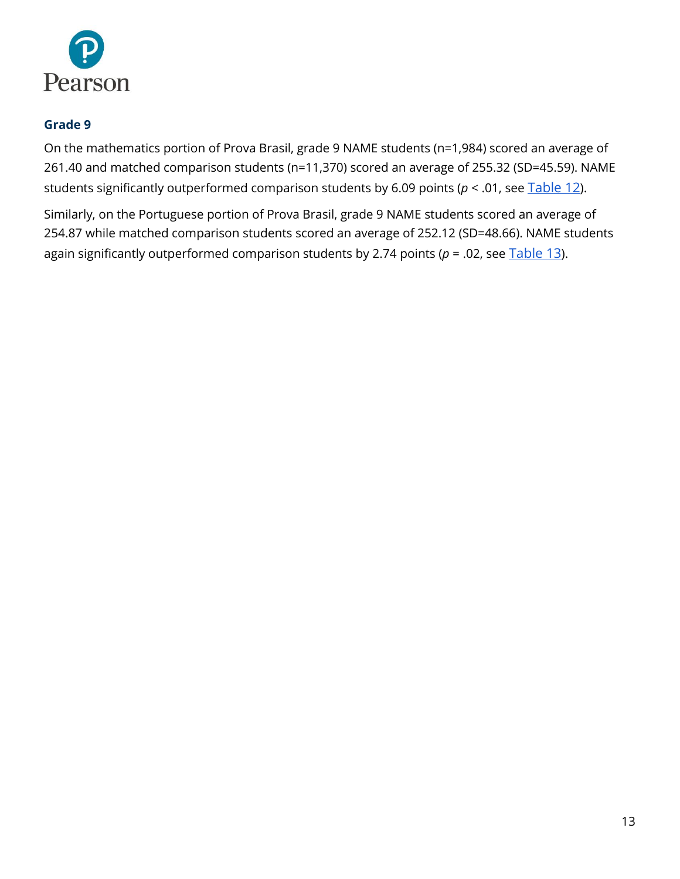

#### <span id="page-13-0"></span>**Grade 9**

On the mathematics portion of Prova Brasil, grade 9 NAME students (n=1,984) scored an average of 261.40 and matched comparison students (n=11,370) scored an average of 255.32 (SD=45.59). NAME students significantly outperformed comparison students by 6.09 points (*p* < .01, see [Table 12](file:///C:/Dropbox/Bond%20and%20Coyne/Pearsons/Job%201%20-%20Word%20and%20Google%20Docs%20template/WIP/2018%2003%2027%20Conversions/In%20Progress/NAME_FINAL%20Technical_Report_2-20-18.docx%23_3ygebqi)).

Similarly, on the Portuguese portion of Prova Brasil, grade 9 NAME students scored an average of 254.87 while matched comparison students scored an average of 252.12 (SD=48.66). NAME students again significantly outperformed comparison students by 2.74 points (*p* = .02, see [Table 13](file:///C:/Dropbox/Bond%20and%20Coyne/Pearsons/Job%201%20-%20Word%20and%20Google%20Docs%20template/WIP/2018%2003%2027%20Conversions/In%20Progress/NAME_FINAL%20Technical_Report_2-20-18.docx%23_1egqt2p)).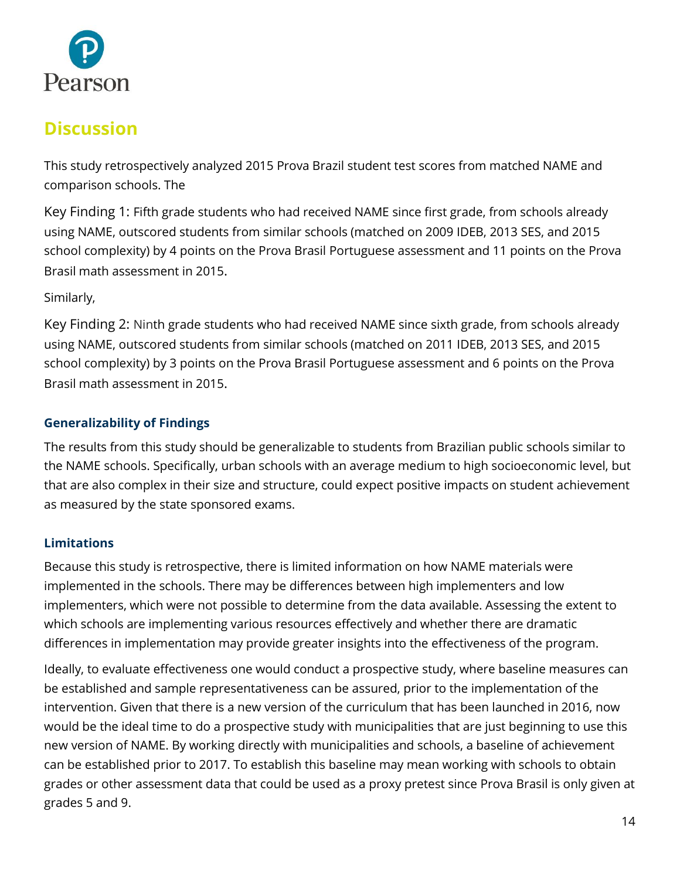

# <span id="page-14-0"></span>**Discussion**

This study retrospectively analyzed 2015 Prova Brazil student test scores from matched NAME and comparison schools. The

Key Finding 1: Fifth grade students who had received NAME since first grade, from schools already using NAME, outscored students from similar schools (matched on 2009 IDEB, 2013 SES, and 2015 school complexity) by 4 points on the Prova Brasil Portuguese assessment and 11 points on the Prova Brasil math assessment in 2015.

Similarly,

Key Finding 2: Ninth grade students who had received NAME since sixth grade, from schools already using NAME, outscored students from similar schools (matched on 2011 IDEB, 2013 SES, and 2015 school complexity) by 3 points on the Prova Brasil Portuguese assessment and 6 points on the Prova Brasil math assessment in 2015.

### <span id="page-14-1"></span>**Generalizability of Findings**

The results from this study should be generalizable to students from Brazilian public schools similar to the NAME schools. Specifically, urban schools with an average medium to high socioeconomic level, but that are also complex in their size and structure, could expect positive impacts on student achievement as measured by the state sponsored exams.

### <span id="page-14-2"></span>**Limitations**

Because this study is retrospective, there is limited information on how NAME materials were implemented in the schools. There may be differences between high implementers and low implementers, which were not possible to determine from the data available. Assessing the extent to which schools are implementing various resources effectively and whether there are dramatic differences in implementation may provide greater insights into the effectiveness of the program.

Ideally, to evaluate effectiveness one would conduct a prospective study, where baseline measures can be established and sample representativeness can be assured, prior to the implementation of the intervention. Given that there is a new version of the curriculum that has been launched in 2016, now would be the ideal time to do a prospective study with municipalities that are just beginning to use this new version of NAME. By working directly with municipalities and schools, a baseline of achievement can be established prior to 2017. To establish this baseline may mean working with schools to obtain grades or other assessment data that could be used as a proxy pretest since Prova Brasil is only given at grades 5 and 9.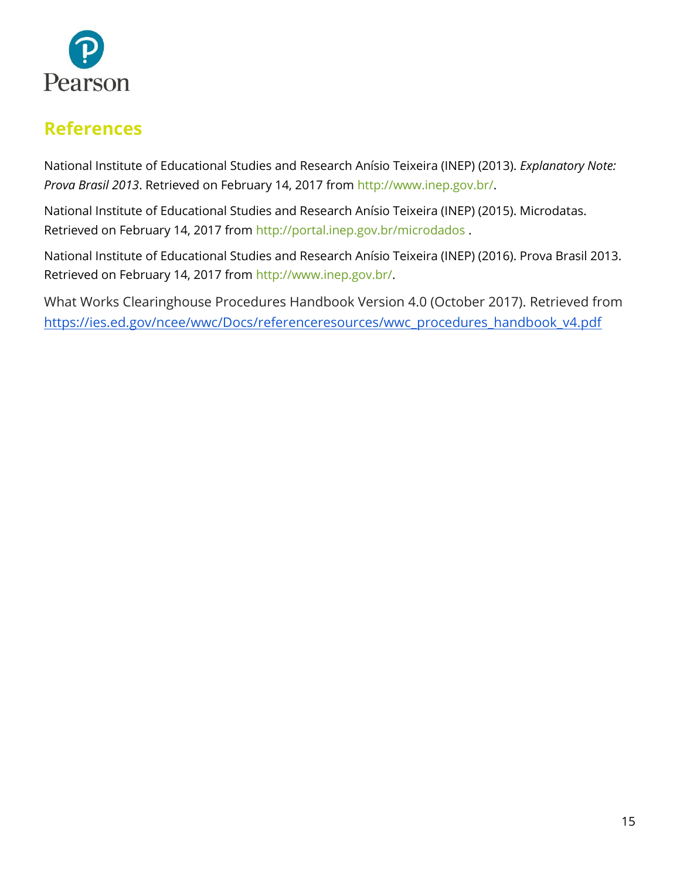

# <span id="page-15-0"></span>**References**

National Institute of Educational Studies and Research Anísio Teixeira (INEP) (2013). *Explanatory Note: Prova Brasil 2013*. Retrieved on February 14, 2017 from http://www.inep.gov.br/.

National Institute of Educational Studies and Research Anísio Teixeira (INEP) (2015). Microdatas. Retrieved on February 14, 2017 from http://portal.inep.gov.br/microdados .

National Institute of Educational Studies and Research Anísio Teixeira (INEP) (2016). Prova Brasil 2013. Retrieved on February 14, 2017 from http://www.inep.gov.br/.

What Works Clearinghouse Procedures Handbook Version 4.0 (October 2017). Retrieved from [https://ies.ed.gov/ncee/wwc/Docs/referenceresources/wwc\\_procedures\\_handbook\\_v4.pdf](https://urldefense.proofpoint.com/v2/url?u=https-3A__ies.ed.gov_ncee_wwc_Docs_referenceresources_wwc-5Fprocedures-5Fhandbook-5Fv4.pdf&d=DwMFaQ&c=0YLnzTkWOdJlub_y7qAx8Q&r=vjuSEqkZYMHpICuiMOwFDEIyr53Aj64I979O-CtAito&m=HLgr2l2Pcifd2zp_4KLdinub9RIdld9V0v6yQHosnEA&s=IKaRpsdr2PV9pbKz_dKhOWNul2wgDGTl64Ejv4CgegE&e=)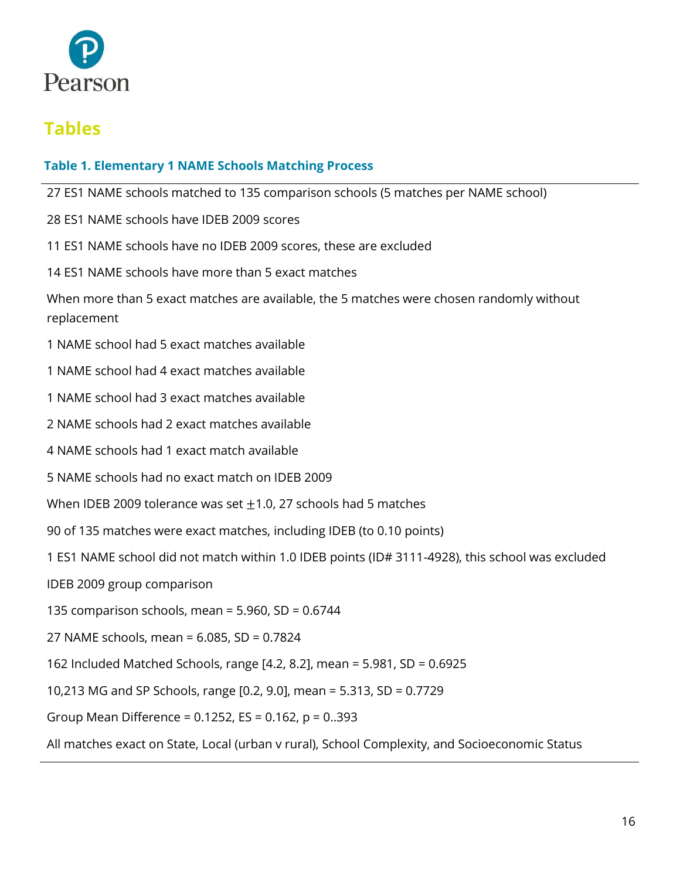

# <span id="page-16-0"></span>**Tables**

### <span id="page-16-1"></span>**Table 1. Elementary 1 NAME Schools Matching Process**

27 ES1 NAME schools matched to 135 comparison schools (5 matches per NAME school)

- 28 ES1 NAME schools have IDEB 2009 scores
- 11 ES1 NAME schools have no IDEB 2009 scores, these are excluded
- 14 ES1 NAME schools have more than 5 exact matches

When more than 5 exact matches are available, the 5 matches were chosen randomly without replacement

- 1 NAME school had 5 exact matches available
- 1 NAME school had 4 exact matches available
- 1 NAME school had 3 exact matches available
- 2 NAME schools had 2 exact matches available
- 4 NAME schools had 1 exact match available
- 5 NAME schools had no exact match on IDEB 2009
- When IDEB 2009 tolerance was set  $\pm 1.0$ , 27 schools had 5 matches
- 90 of 135 matches were exact matches, including IDEB (to 0.10 points)
- 1 ES1 NAME school did not match within 1.0 IDEB points (ID# 3111-4928), this school was excluded
- IDEB 2009 group comparison
- 135 comparison schools, mean = 5.960, SD = 0.6744
- 27 NAME schools, mean = 6.085, SD = 0.7824
- 162 Included Matched Schools, range [4.2, 8.2], mean = 5.981, SD = 0.6925
- 10,213 MG and SP Schools, range [0.2, 9.0], mean = 5.313, SD = 0.7729

Group Mean Difference = 0.1252, ES = 0.162,  $p = 0.393$ 

All matches exact on State, Local (urban v rural), School Complexity, and Socioeconomic Status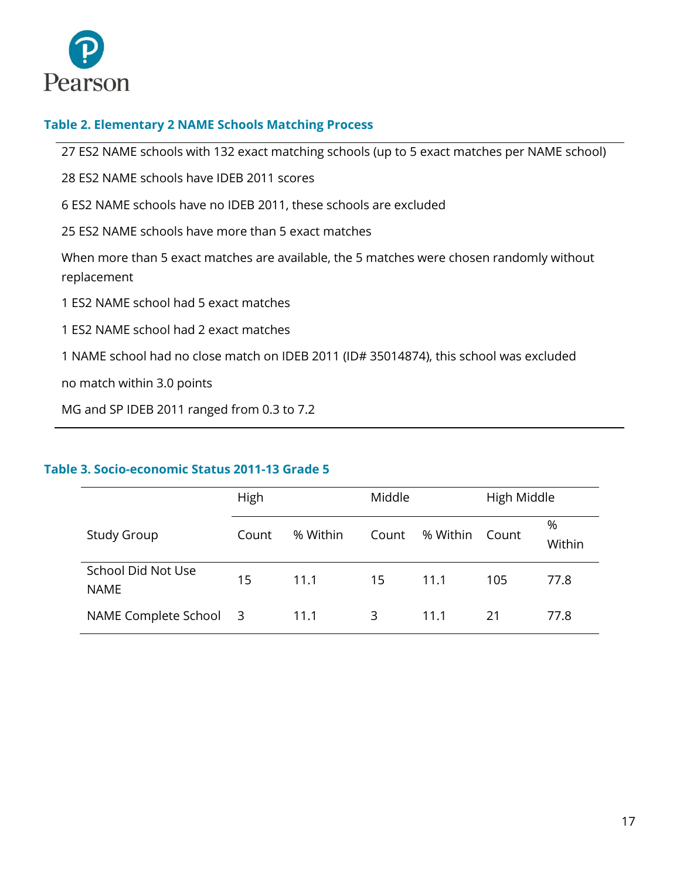

#### <span id="page-17-0"></span>**Table 2. Elementary 2 NAME Schools Matching Process**

27 ES2 NAME schools with 132 exact matching schools (up to 5 exact matches per NAME school)

28 ES2 NAME schools have IDEB 2011 scores

6 ES2 NAME schools have no IDEB 2011, these schools are excluded

25 ES2 NAME schools have more than 5 exact matches

When more than 5 exact matches are available, the 5 matches were chosen randomly without replacement

1 ES2 NAME school had 5 exact matches

1 ES2 NAME school had 2 exact matches

1 NAME school had no close match on IDEB 2011 (ID# 35014874), this school was excluded

no match within 3.0 points

MG and SP IDEB 2011 ranged from 0.3 to 7.2

#### <span id="page-17-1"></span>**Table 3. Socio-economic Status 2011-13 Grade 5**

|                                   | High  |          |       |          | High Middle |             |
|-----------------------------------|-------|----------|-------|----------|-------------|-------------|
| <b>Study Group</b>                | Count | % Within | Count | % Within | Count       | %<br>Within |
| School Did Not Use<br><b>NAME</b> | 15    | 11.1     | 15    | 11.1     | 105         | 77.8        |
| NAME Complete School 3            |       | 11.1     | 3     | 11.1     | 21          | 77.8        |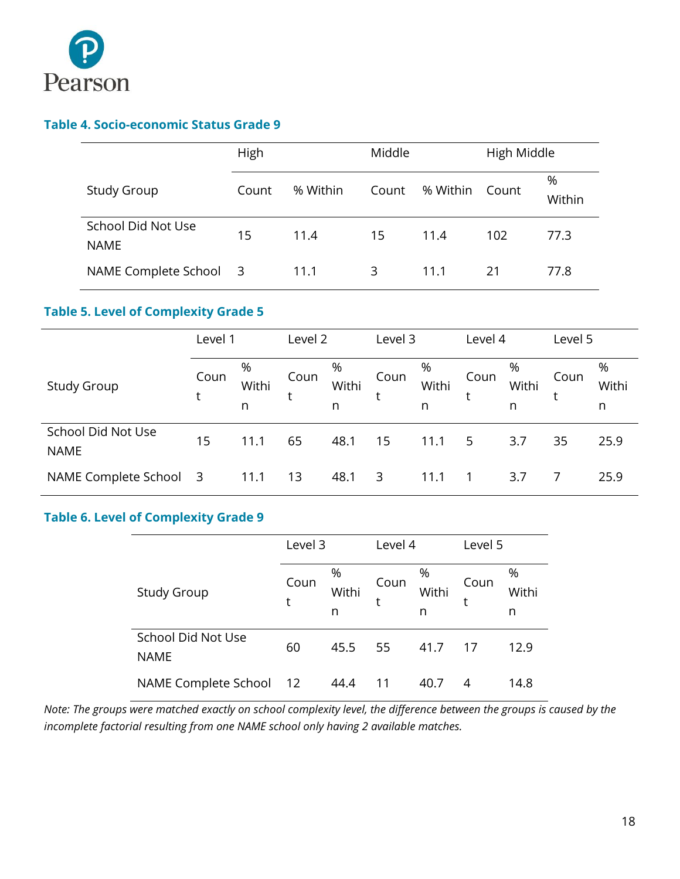

### <span id="page-18-0"></span>**Table 4. Socio-economic Status Grade 9**

|                                   | High                    |          |       |          | High Middle |             |
|-----------------------------------|-------------------------|----------|-------|----------|-------------|-------------|
| <b>Study Group</b>                | Count                   | % Within | Count | % Within | Count       | %<br>Within |
| School Did Not Use<br><b>NAME</b> | 15                      | 11.4     | 15    | 11.4     | 102         | 77.3        |
| NAME Complete School              | $\overline{\mathbf{3}}$ | 11.1     | 3     | 11.1     | 21          | 77.8        |

# <span id="page-18-1"></span>**Table 5. Level of Complexity Grade 5**

|                                   | Level 1 |                 | Level 2   |                 | Level 3 |                 | Level 4 |                 | Level 5 |                 |
|-----------------------------------|---------|-----------------|-----------|-----------------|---------|-----------------|---------|-----------------|---------|-----------------|
| <b>Study Group</b>                | Coun    | %<br>Withi<br>n | Coun<br>٠ | %<br>Withi<br>n | Coun    | %<br>Withi<br>n | Coun    | %<br>Withi<br>n | Coun    | %<br>Withi<br>n |
| School Did Not Use<br><b>NAME</b> | 15      | 11.1            | 65        | 48.1            | 15      | 11.1            | 5       | 3.7             | 35      | 25.9            |
| NAME Complete School              | 3       | 11.1            | 13        | 48.1            | 3       | 11.1            |         | 3.7             |         | 25.9            |

#### <span id="page-18-2"></span>**Table 6. Level of Complexity Grade 9**

|                                   | Level 3   |                 | Level 4   |                 | Level 5   |                 |
|-----------------------------------|-----------|-----------------|-----------|-----------------|-----------|-----------------|
| <b>Study Group</b>                | Coun<br>t | %<br>Withi<br>n | Coun<br>t | %<br>Withi<br>n | Coun<br>t | %<br>Withi<br>n |
| School Did Not Use<br><b>NAME</b> | 60        | 45.5            | -55       | 41.7            | 17        | 12.9            |
| NAME Complete School              | 12        | 44.4            | 11        | 40.7            | 4         | 14.8            |

*Note: The groups were matched exactly on school complexity level, the difference between the groups is caused by the incomplete factorial resulting from one NAME school only having 2 available matches.*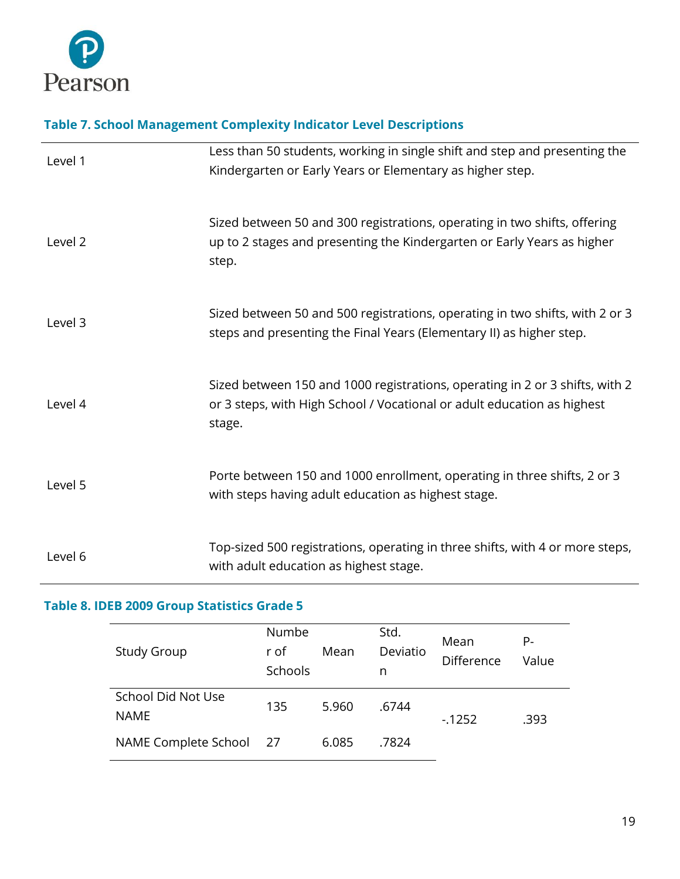

## <span id="page-19-0"></span>**Table 7. School Management Complexity Indicator Level Descriptions**

| Level 1 | Less than 50 students, working in single shift and step and presenting the<br>Kindergarten or Early Years or Elementary as higher step.                           |
|---------|-------------------------------------------------------------------------------------------------------------------------------------------------------------------|
| Level 2 | Sized between 50 and 300 registrations, operating in two shifts, offering<br>up to 2 stages and presenting the Kindergarten or Early Years as higher<br>step.     |
| Level 3 | Sized between 50 and 500 registrations, operating in two shifts, with 2 or 3<br>steps and presenting the Final Years (Elementary II) as higher step.              |
| Level 4 | Sized between 150 and 1000 registrations, operating in 2 or 3 shifts, with 2<br>or 3 steps, with High School / Vocational or adult education as highest<br>stage. |
| Level 5 | Porte between 150 and 1000 enrollment, operating in three shifts, 2 or 3<br>with steps having adult education as highest stage.                                   |
| Level 6 | Top-sized 500 registrations, operating in three shifts, with 4 or more steps,<br>with adult education as highest stage.                                           |

### <span id="page-19-1"></span>**Table 8. IDEB 2009 Group Statistics Grade 5**

| <b>Study Group</b>                | Numbe<br>r of<br>Schools | Mean  | Std.<br>Deviatio<br>n | Mean<br><b>Difference</b> | Р-<br>Value |
|-----------------------------------|--------------------------|-------|-----------------------|---------------------------|-------------|
| School Did Not Use<br><b>NAME</b> | 135                      | 5.960 | .6744                 | $-1252$                   | .393        |
| <b>NAME Complete School</b>       | -27                      | 6.085 | .7824                 |                           |             |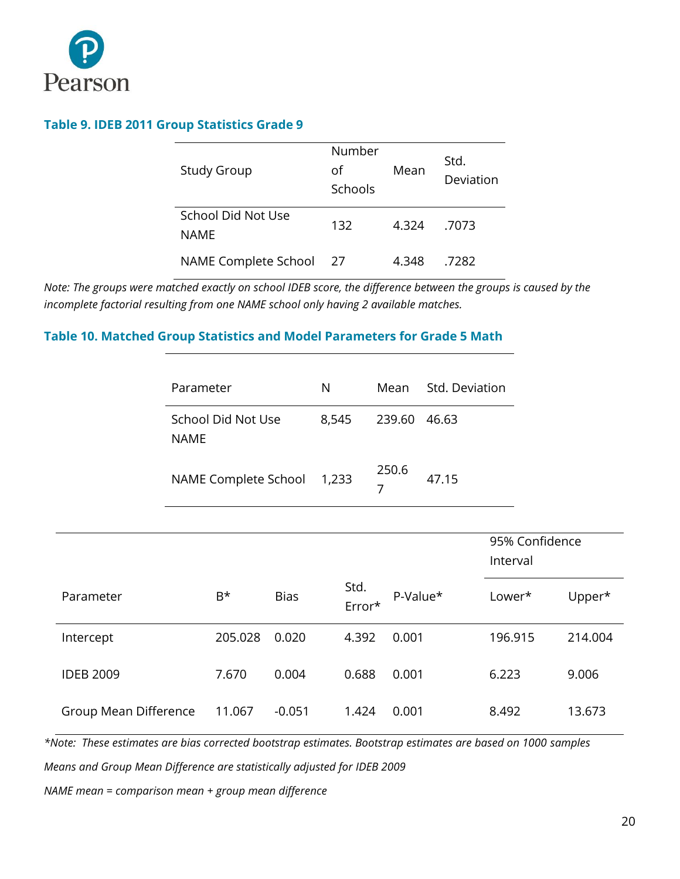

#### <span id="page-20-0"></span>**Table 9. IDEB 2011 Group Statistics Grade 9**

| <b>Study Group</b>                | Number<br>Ωf<br>Schools | Mean  | Std.<br>Deviation |
|-----------------------------------|-------------------------|-------|-------------------|
| School Did Not Use<br><b>NAME</b> | 132                     | 4.324 | .7073             |
| <b>NAME Complete School</b>       | 27                      | 4.348 | .7282             |

*Note: The groups were matched exactly on school IDEB score, the difference between the groups is caused by the incomplete factorial resulting from one NAME school only having 2 available matches.* 

#### <span id="page-20-1"></span>**Table 10. Matched Group Statistics and Model Parameters for Grade 5 Math**

| Parameter                         | N     |        | Mean Std. Deviation |
|-----------------------------------|-------|--------|---------------------|
| School Did Not Use<br><b>NAME</b> | 8,545 | 239.60 | - 46.63             |
| NAME Complete School              | 1,233 | 250.6  | 47.15               |

|                       |         |             |                |          | 95% Confidence<br>Interval |         |
|-----------------------|---------|-------------|----------------|----------|----------------------------|---------|
| Parameter             | B*      | <b>Bias</b> | Std.<br>Error* | P-Value* | Lower*                     | Upper*  |
| Intercept             | 205.028 | 0.020       | 4.392          | 0.001    | 196.915                    | 214.004 |
| <b>IDEB 2009</b>      | 7.670   | 0.004       | 0.688          | 0.001    | 6.223                      | 9.006   |
| Group Mean Difference | 11.067  | $-0.051$    | 1.424          | 0.001    | 8.492                      | 13.673  |

*\*Note: These estimates are bias corrected bootstrap estimates. Bootstrap estimates are based on 1000 samples*

*Means and Group Mean Difference are statistically adjusted for IDEB 2009*

*NAME mean = comparison mean + group mean difference*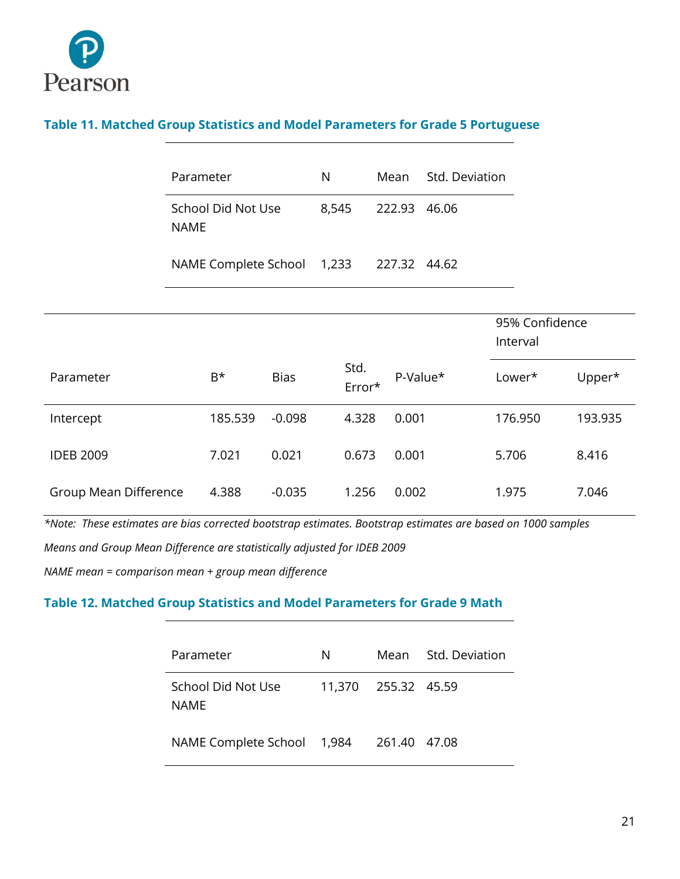

### <span id="page-21-0"></span>**Table 11. Matched Group Statistics and Model Parameters for Grade 5 Portuguese**

|                              |             | Parameter            |             | N     |                | Std. Deviation<br>Mean |       |                            |         |
|------------------------------|-------------|----------------------|-------------|-------|----------------|------------------------|-------|----------------------------|---------|
|                              | <b>NAME</b> | School Did Not Use   |             | 8,545 |                | 222.93                 | 46.06 |                            |         |
|                              |             | NAME Complete School |             | 1,233 |                | 227.32                 | 44.62 |                            |         |
|                              |             |                      |             |       |                |                        |       | 95% Confidence<br>Interval |         |
| Parameter                    |             | $B^*$                | <b>Bias</b> |       | Std.<br>Error* | P-Value*               |       | Lower*                     | Upper*  |
| Intercept                    |             | 185.539              | $-0.098$    |       | 4.328          | 0.001                  |       | 176.950                    | 193.935 |
| <b>IDEB 2009</b>             |             | 7.021                | 0.021       |       | 0.673          | 0.001                  |       | 5.706                      | 8.416   |
| <b>Group Mean Difference</b> |             | 4.388                | $-0.035$    |       | 1.256          | 0.002                  |       | 1.975                      | 7.046   |

*\*Note: These estimates are bias corrected bootstrap estimates. Bootstrap estimates are based on 1000 samples*

*Means and Group Mean Difference are statistically adjusted for IDEB 2009* 

*NAME mean = comparison mean + group mean difference*

#### <span id="page-21-1"></span>**Table 12. Matched Group Statistics and Model Parameters for Grade 9 Math**

| Parameter                         | N |                     | Mean Std. Deviation |
|-----------------------------------|---|---------------------|---------------------|
| School Did Not Use<br><b>NAME</b> |   | 11,370 255.32 45.59 |                     |
| NAME Complete School 1,984        |   | 261.40 47.08        |                     |